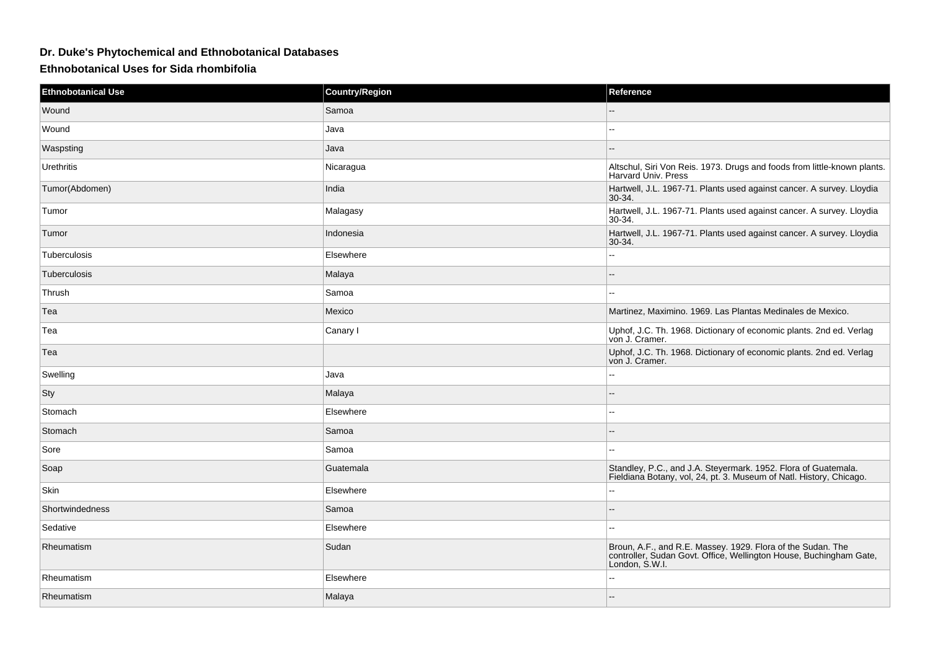## **Dr. Duke's Phytochemical and Ethnobotanical Databases**

## **Ethnobotanical Uses for Sida rhombifolia**

| <b>Ethnobotanical Use</b> | Country/Region | Reference                                                                                                                                           |
|---------------------------|----------------|-----------------------------------------------------------------------------------------------------------------------------------------------------|
| Wound                     | Samoa          |                                                                                                                                                     |
| Wound                     | Java           | $\overline{a}$                                                                                                                                      |
| Waspsting                 | Java           |                                                                                                                                                     |
| Urethritis                | Nicaragua      | Altschul, Siri Von Reis. 1973. Drugs and foods from little-known plants.<br>Harvard Univ. Press                                                     |
| Tumor(Abdomen)            | India          | Hartwell, J.L. 1967-71. Plants used against cancer. A survey. Lloydia<br>$30-34.$                                                                   |
| Tumor                     | Malagasy       | Hartwell, J.L. 1967-71. Plants used against cancer. A survey. Lloydia<br>30-34.                                                                     |
| Tumor                     | Indonesia      | Hartwell, J.L. 1967-71. Plants used against cancer. A survey. Lloydia<br>30-34.                                                                     |
| Tuberculosis              | Elsewhere      | ۵.                                                                                                                                                  |
| Tuberculosis              | Malaya         |                                                                                                                                                     |
| Thrush                    | Samoa          |                                                                                                                                                     |
| Tea                       | Mexico         | Martinez, Maximino. 1969. Las Plantas Medinales de Mexico.                                                                                          |
| Tea                       | Canary I       | Uphof, J.C. Th. 1968. Dictionary of economic plants. 2nd ed. Verlag von J. Cramer.                                                                  |
| Tea                       |                | Uphof, J.C. Th. 1968. Dictionary of economic plants. 2nd ed. Verlag<br>von J. Cramer.                                                               |
| Swelling                  | Java           | $\sim$ $\sim$                                                                                                                                       |
| Sty                       | Malaya         | $\sim$                                                                                                                                              |
| Stomach                   | Elsewhere      | ۵.                                                                                                                                                  |
| Stomach                   | Samoa          |                                                                                                                                                     |
| Sore                      | Samoa          | $\sim$ $\sim$                                                                                                                                       |
| Soap                      | Guatemala      | Standley, P.C., and J.A. Steyermark. 1952. Flora of Guatemala.<br>Fieldiana Botany, vol, 24, pt. 3. Museum of Natl. History, Chicago.               |
| Skin                      | Elsewhere      | $\overline{\phantom{a}}$                                                                                                                            |
| Shortwindedness           | Samoa          |                                                                                                                                                     |
| Sedative                  | Elsewhere      | $\overline{\phantom{a}}$                                                                                                                            |
| Rheumatism                | Sudan          | Broun, A.F., and R.E. Massey. 1929. Flora of the Sudan. The<br>controller, Sudan Govt. Office, Wellington House, Buchingham Gate,<br>London, S.W.I. |
| Rheumatism                | Elsewhere      |                                                                                                                                                     |
| Rheumatism                | Malaya         |                                                                                                                                                     |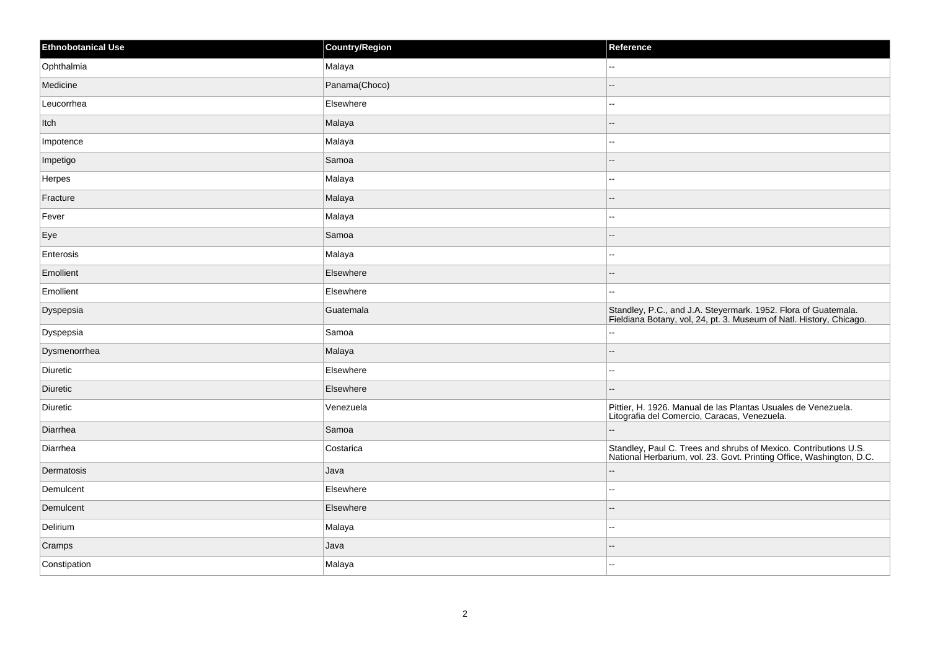| <b>Ethnobotanical Use</b> | <b>Country/Region</b> | Reference                                                                                                                                |
|---------------------------|-----------------------|------------------------------------------------------------------------------------------------------------------------------------------|
| Ophthalmia                | Malaya                | $\mathcal{L}_{\mathcal{F}}$                                                                                                              |
| Medicine                  | Panama(Choco)         | $-$                                                                                                                                      |
| Leucorrhea                | Elsewhere             | $\overline{\phantom{a}}$                                                                                                                 |
| Itch                      | Malaya                | $\overline{\phantom{a}}$                                                                                                                 |
| Impotence                 | Malaya                | $\sim$ $\sim$                                                                                                                            |
| Impetigo                  | Samoa                 | $\overline{\phantom{a}}$                                                                                                                 |
| Herpes                    | Malaya                | $\sim$ $\sim$                                                                                                                            |
| Fracture                  | Malaya                | --                                                                                                                                       |
| Fever                     | Malaya                | $\mathbb{H}^{\mathbb{Z}}$                                                                                                                |
| Eye                       | Samoa                 | $\overline{a}$                                                                                                                           |
| Enterosis                 | Malaya                | $\mathbf{u}$                                                                                                                             |
| Emollient                 | Elsewhere             | --                                                                                                                                       |
| Emollient                 | Elsewhere             | $\sim$ $\sim$                                                                                                                            |
| Dyspepsia                 | Guatemala             | Standley, P.C., and J.A. Steyermark. 1952. Flora of Guatemala.<br>Fieldiana Botany, vol, 24, pt. 3. Museum of Natl. History, Chicago.    |
| Dyspepsia                 | Samoa                 | $\overline{\phantom{a}}$                                                                                                                 |
| Dysmenorrhea              | Malaya                | $\overline{\phantom{a}}$                                                                                                                 |
| <b>Diuretic</b>           | Elsewhere             | $\overline{a}$                                                                                                                           |
| <b>Diuretic</b>           | Elsewhere             | $\overline{\phantom{a}}$                                                                                                                 |
| <b>Diuretic</b>           | Venezuela             | Pittier, H. 1926. Manual de las Plantas Usuales de Venezuela.<br>Litografia del Comercio, Caracas, Venezuela.                            |
| Diarrhea                  | Samoa                 |                                                                                                                                          |
| Diarrhea                  | Costarica             | Standley, Paul C. Trees and shrubs of Mexico. Contributions U.S.<br>National Herbarium, vol. 23. Govt. Printing Office, Washington, D.C. |
| Dermatosis                | Java                  | $\overline{\phantom{a}}$                                                                                                                 |
| Demulcent                 | Elsewhere             | $\overline{\phantom{a}}$                                                                                                                 |
| Demulcent                 | Elsewhere             | $\overline{\phantom{a}}$                                                                                                                 |
| Delirium                  | Malaya                | $\sim$                                                                                                                                   |
| Cramps                    | Java                  | $\qquad \qquad -$                                                                                                                        |
| Constipation              | Malaya                | $\sim$ $\sim$                                                                                                                            |